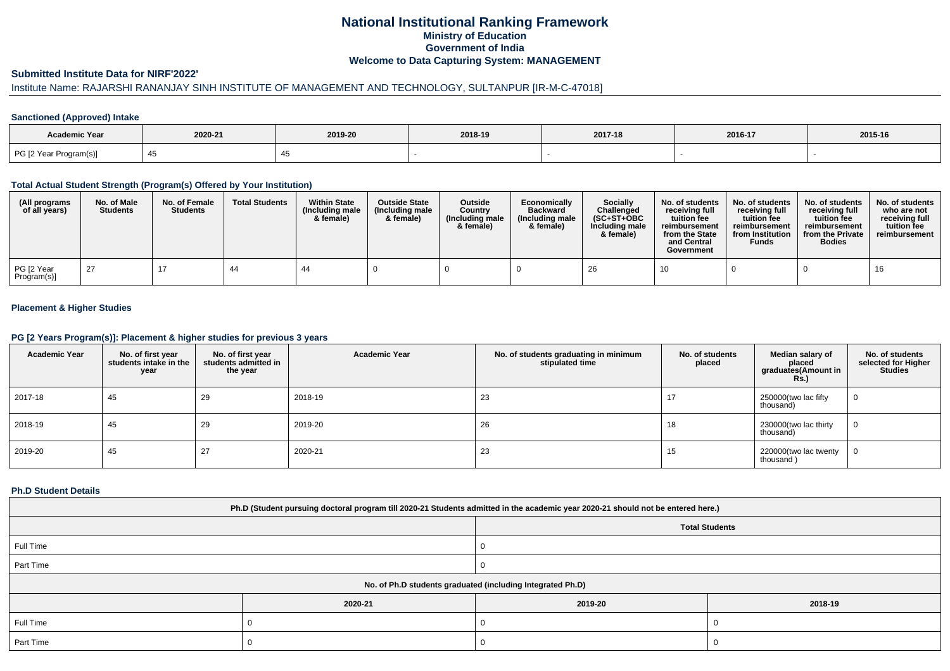## **National Institutional Ranking FrameworkMinistry of Education Government of IndiaWelcome to Data Capturing System: MANAGEMENT**

#### **Submitted Institute Data for NIRF'2022'**

# Institute Name: RAJARSHI RANANJAY SINH INSTITUTE OF MANAGEMENT AND TECHNOLOGY, SULTANPUR [IR-M-C-47018]

## **Sanctioned (Approved) Intake**

| Academic Year          |         |         |         |         |         |         |
|------------------------|---------|---------|---------|---------|---------|---------|
|                        | 2020-21 | 2019-20 | 2018-19 | 2017-18 | 2016-17 | 2015-16 |
| PG [2 Year Program(s)] |         |         |         |         |         |         |

#### **Total Actual Student Strength (Program(s) Offered by Your Institution)**

| (All programs<br>of all years) | No. of Male<br><b>Students</b> | No. of Female<br><b>Students</b> | <b>Total Students</b> | <b>Within State</b><br>(Including male<br>& female) | <b>Outside State</b><br>(Including male<br>& female) | Outside<br>Country<br>(Including male<br>& female) | Economically<br><b>Backward</b><br>(Including male<br>& female) | Socially<br>Challenged<br>$(SC+ST+OBC$<br>Including male<br>& female) | No. of students<br>receiving full<br>tuition fee<br>reimbursement<br>from the State<br>and Central<br>Government | No. of students<br>receiving full<br>tuition fee<br>reimbursement<br>from Institution<br><b>Funds</b> | No. of students<br>receiving full<br>tuition fee<br>reimbursement<br>from the Private<br><b>Bodies</b> | No. of students<br>who are not<br>receiving full<br>tuition fee<br>reimbursement |
|--------------------------------|--------------------------------|----------------------------------|-----------------------|-----------------------------------------------------|------------------------------------------------------|----------------------------------------------------|-----------------------------------------------------------------|-----------------------------------------------------------------------|------------------------------------------------------------------------------------------------------------------|-------------------------------------------------------------------------------------------------------|--------------------------------------------------------------------------------------------------------|----------------------------------------------------------------------------------|
| PG [2 Year<br>Program(s)]      | -27                            |                                  | 44                    | 44                                                  |                                                      |                                                    |                                                                 | 26                                                                    | 10                                                                                                               |                                                                                                       |                                                                                                        | 16                                                                               |

## **Placement & Higher Studies**

#### **PG [2 Years Program(s)]: Placement & higher studies for previous 3 years**

| <b>Academic Year</b> | No. of first year<br>students intake in the<br>year | No. of first year<br>students admitted in<br>the year | <b>Academic Year</b> | No. of students graduating in minimum<br>stipulated time | No. of students<br>placed | Median salary of<br>placed<br>graduates(Amount in<br><b>Rs.)</b> | No. of students<br>selected for Higher<br><b>Studies</b> |
|----------------------|-----------------------------------------------------|-------------------------------------------------------|----------------------|----------------------------------------------------------|---------------------------|------------------------------------------------------------------|----------------------------------------------------------|
| 2017-18              | 45                                                  | 29                                                    | 2018-19              | 23                                                       |                           | 250000(two lac fifty<br>thousand)                                | 0                                                        |
| 2018-19              | 45                                                  | 29                                                    | 2019-20              | 26                                                       | 18                        | 230000(two lac thirty<br>thousand)                               | 0                                                        |
| 2019-20              | 45                                                  | 27                                                    | 2020-21              | 23                                                       | 15                        | 220000(two lac twenty<br>thousand)                               | 0                                                        |

#### **Ph.D Student Details**

| Ph.D (Student pursuing doctoral program till 2020-21 Students admitted in the academic year 2020-21 should not be entered here.) |         |                       |         |  |  |  |  |
|----------------------------------------------------------------------------------------------------------------------------------|---------|-----------------------|---------|--|--|--|--|
|                                                                                                                                  |         | <b>Total Students</b> |         |  |  |  |  |
| Full Time                                                                                                                        |         |                       |         |  |  |  |  |
| Part Time                                                                                                                        |         |                       |         |  |  |  |  |
| No. of Ph.D students graduated (including Integrated Ph.D)                                                                       |         |                       |         |  |  |  |  |
|                                                                                                                                  | 2020-21 | 2019-20               | 2018-19 |  |  |  |  |
| Full Time                                                                                                                        |         |                       |         |  |  |  |  |
| Part Time                                                                                                                        |         |                       |         |  |  |  |  |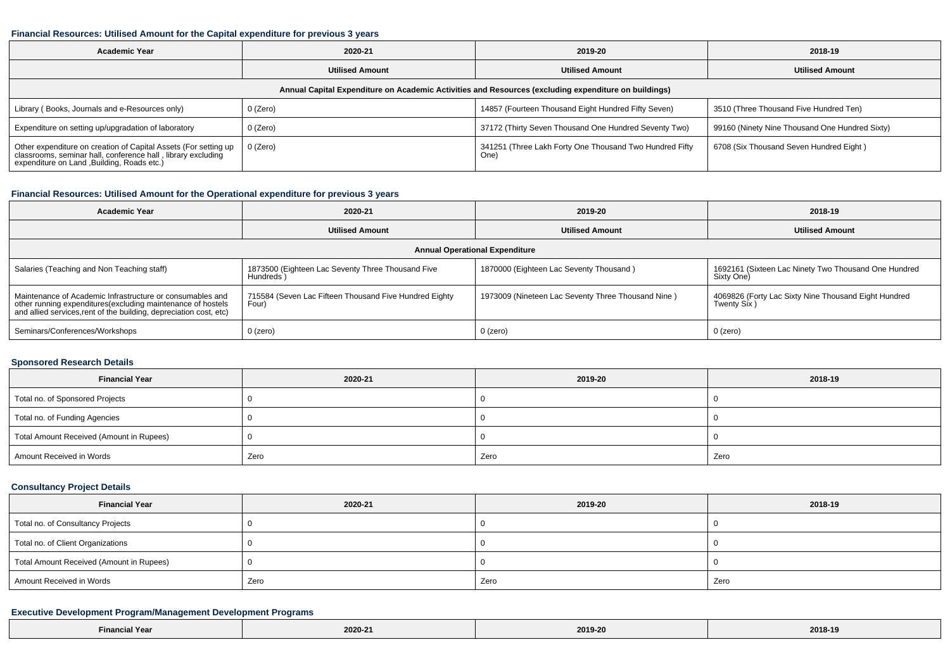#### **Financial Resources: Utilised Amount for the Capital expenditure for previous 3 years**

| <b>Academic Year</b>                                                                                                                                                        | 2020-21                |                                                                 | 2018-19                                        |  |  |  |  |  |
|-----------------------------------------------------------------------------------------------------------------------------------------------------------------------------|------------------------|-----------------------------------------------------------------|------------------------------------------------|--|--|--|--|--|
|                                                                                                                                                                             | <b>Utilised Amount</b> | <b>Utilised Amount</b>                                          | <b>Utilised Amount</b>                         |  |  |  |  |  |
| Annual Capital Expenditure on Academic Activities and Resources (excluding expenditure on buildings)                                                                        |                        |                                                                 |                                                |  |  |  |  |  |
| Library (Books, Journals and e-Resources only)                                                                                                                              | 0 (Zero)               | 14857 (Fourteen Thousand Eight Hundred Fifty Seven)             | 3510 (Three Thousand Five Hundred Ten)         |  |  |  |  |  |
| Expenditure on setting up/upgradation of laboratory                                                                                                                         | 0 (Zero)               | 37172 (Thirty Seven Thousand One Hundred Seventy Two)           | 99160 (Ninety Nine Thousand One Hundred Sixty) |  |  |  |  |  |
| Other expenditure on creation of Capital Assets (For setting up classrooms, seminar hall, conference hall, library excluding<br>expenditure on Land , Building, Roads etc.) | 0 (Zero)               | 341251 (Three Lakh Forty One Thousand Two Hundred Fifty<br>One) | 6708 (Six Thousand Seven Hundred Eight)        |  |  |  |  |  |

## **Financial Resources: Utilised Amount for the Operational expenditure for previous 3 years**

| Academic Year                                                                                                                                                                                   | 2020-21                                                         | 2019-20                                            | 2018-19                                                             |  |  |  |  |  |
|-------------------------------------------------------------------------------------------------------------------------------------------------------------------------------------------------|-----------------------------------------------------------------|----------------------------------------------------|---------------------------------------------------------------------|--|--|--|--|--|
|                                                                                                                                                                                                 | <b>Utilised Amount</b>                                          | <b>Utilised Amount</b>                             | <b>Utilised Amount</b>                                              |  |  |  |  |  |
| <b>Annual Operational Expenditure</b>                                                                                                                                                           |                                                                 |                                                    |                                                                     |  |  |  |  |  |
| Salaries (Teaching and Non Teaching staff)                                                                                                                                                      | 1873500 (Eighteen Lac Seventy Three Thousand Five<br>Hundreds ) | 1870000 (Eighteen Lac Seventy Thousand)            | 1692161 (Sixteen Lac Ninety Two Thousand One Hundred<br>Sixty One)  |  |  |  |  |  |
| Maintenance of Academic Infrastructure or consumables and<br>other running expenditures (excluding maintenance of hostels<br>and allied services, rent of the building, depreciation cost, etc) | 715584 (Seven Lac Fifteen Thousand Five Hundred Eighty<br>Four) | 1973009 (Nineteen Lac Seventy Three Thousand Nine) | 4069826 (Forty Lac Sixty Nine Thousand Eight Hundred<br>Twenty Six) |  |  |  |  |  |
| Seminars/Conferences/Workshops                                                                                                                                                                  | 0 (zero)                                                        | 0 (zero)                                           | 0 (zero)                                                            |  |  |  |  |  |

## **Sponsored Research Details**

| <b>Financial Year</b>                    | 2020-21 | 2019-20 | 2018-19 |
|------------------------------------------|---------|---------|---------|
| Total no. of Sponsored Projects          |         |         |         |
| Total no. of Funding Agencies            |         |         |         |
| Total Amount Received (Amount in Rupees) |         |         |         |
| Amount Received in Words                 | Zero    | Zero    | Zero    |

## **Consultancy Project Details**

| <b>Financial Year</b>                    | 2020-21 | 2019-20 | 2018-19 |
|------------------------------------------|---------|---------|---------|
| Total no. of Consultancy Projects        |         |         |         |
| Total no. of Client Organizations        |         |         |         |
| Total Amount Received (Amount in Rupees) |         |         |         |
| Amount Received in Words                 | Zero    | Zero    | Zero    |

## **Executive Development Program/Management Development Programs**

| the contract of the contract of<br><b>N</b> Year<br>Financ. | 2020-21<br>the contract of the contract of the contract of | 2019-20 | 2018-19 |
|-------------------------------------------------------------|------------------------------------------------------------|---------|---------|
|-------------------------------------------------------------|------------------------------------------------------------|---------|---------|